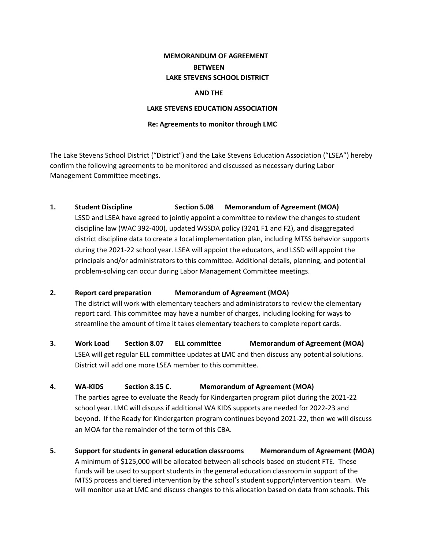# **MEMORANDUM OF AGREEMENT BETWEEN LAKE STEVENS SCHOOL DISTRICT**

### **AND THE**

### **LAKE STEVENS EDUCATION ASSOCIATION**

### **Re: Agreements to monitor through LMC**

The Lake Stevens School District ("District") and the Lake Stevens Education Association ("LSEA") hereby confirm the following agreements to be monitored and discussed as necessary during Labor Management Committee meetings.

# **1. Student Discipline Section 5.08 Memorandum of Agreement (MOA)**

LSSD and LSEA have agreed to jointly appoint a committee to review the changes to student discipline law (WAC 392-400), updated WSSDA policy (3241 F1 and F2), and disaggregated district discipline data to create a local implementation plan, including MTSS behavior supports during the 2021-22 school year. LSEA will appoint the educators, and LSSD will appoint the principals and/or administrators to this committee. Additional details, planning, and potential problem-solving can occur during Labor Management Committee meetings.

# **2. Report card preparation Memorandum of Agreement (MOA)**

The district will work with elementary teachers and administrators to review the elementary report card. This committee may have a number of charges, including looking for ways to streamline the amount of time it takes elementary teachers to complete report cards.

**3. Work Load Section 8.07 ELL committee Memorandum of Agreement (MOA)** LSEA will get regular ELL committee updates at LMC and then discuss any potential solutions. District will add one more LSEA member to this committee.

# **4. WA-KIDS Section 8.15 C. Memorandum of Agreement (MOA)**

The parties agree to evaluate the Ready for Kindergarten program pilot during the 2021-22 school year. LMC will discuss if additional WA KIDS supports are needed for 2022-23 and beyond. If the Ready for Kindergarten program continues beyond 2021-22, then we will discuss an MOA for the remainder of the term of this CBA.

**5. Support for students in general education classrooms Memorandum of Agreement (MOA)**  A minimum of \$125,000 will be allocated between all schools based on student FTE. These funds will be used to support students in the general education classroom in support of the MTSS process and tiered intervention by the school's student support/intervention team. We will monitor use at LMC and discuss changes to this allocation based on data from schools. This